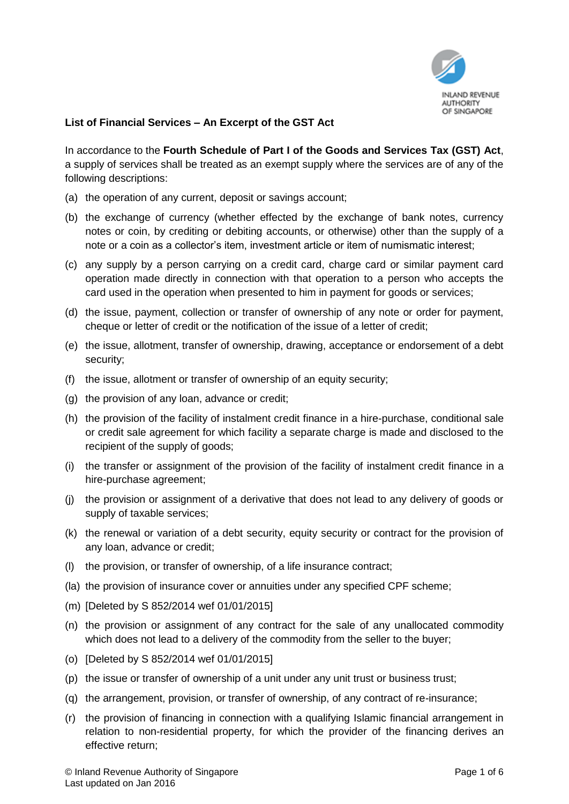

## **List of Financial Services – An Excerpt of the GST Act**

In accordance to the **Fourth Schedule of Part I of the Goods and Services Tax (GST) Act**, a supply of services shall be treated as an exempt supply where the services are of any of the following descriptions:

- (a) the operation of any current, deposit or savings account;
- (b) the exchange of currency (whether effected by the exchange of bank notes, currency notes or coin, by crediting or debiting accounts, or otherwise) other than the supply of a note or a coin as a collector's item, investment article or item of numismatic interest;
- (c) any supply by a person carrying on a credit card, charge card or similar payment card operation made directly in connection with that operation to a person who accepts the card used in the operation when presented to him in payment for goods or services;
- (d) the issue, payment, collection or transfer of ownership of any note or order for payment, cheque or letter of credit or the notification of the issue of a letter of credit;
- (e) the issue, allotment, transfer of ownership, drawing, acceptance or endorsement of a debt security;
- (f) the issue, allotment or transfer of ownership of an equity security;
- (g) the provision of any loan, advance or credit;
- (h) the provision of the facility of instalment credit finance in a hire-purchase, conditional sale or credit sale agreement for which facility a separate charge is made and disclosed to the recipient of the supply of goods;
- (i) the transfer or assignment of the provision of the facility of instalment credit finance in a hire-purchase agreement;
- (j) the provision or assignment of a derivative that does not lead to any delivery of goods or supply of taxable services;
- (k) the renewal or variation of a debt security, equity security or contract for the provision of any loan, advance or credit;
- (l) the provision, or transfer of ownership, of a life insurance contract;
- (la) the provision of insurance cover or annuities under any specified CPF scheme;
- (m) [Deleted by S 852/2014 wef 01/01/2015]
- (n) the provision or assignment of any contract for the sale of any unallocated commodity which does not lead to a delivery of the commodity from the seller to the buyer;
- (o) [Deleted by S 852/2014 wef 01/01/2015]
- (p) the issue or transfer of ownership of a unit under any unit trust or business trust;
- (q) the arrangement, provision, or transfer of ownership, of any contract of re-insurance;
- (r) the provision of financing in connection with a qualifying Islamic financial arrangement in relation to non-residential property, for which the provider of the financing derives an effective return;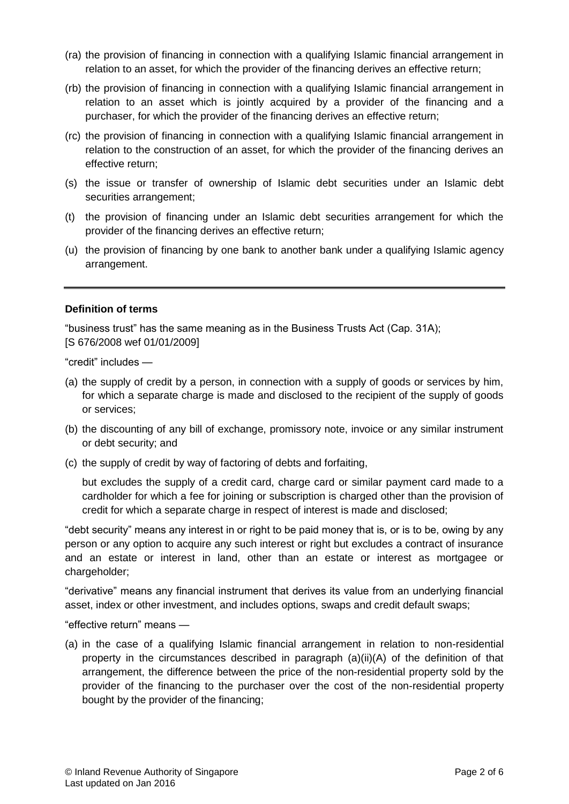- (ra) the provision of financing in connection with a qualifying Islamic financial arrangement in relation to an asset, for which the provider of the financing derives an effective return;
- (rb) the provision of financing in connection with a qualifying Islamic financial arrangement in relation to an asset which is jointly acquired by a provider of the financing and a purchaser, for which the provider of the financing derives an effective return;
- (rc) the provision of financing in connection with a qualifying Islamic financial arrangement in relation to the construction of an asset, for which the provider of the financing derives an effective return;
- (s) the issue or transfer of ownership of Islamic debt securities under an Islamic debt securities arrangement:
- (t) the provision of financing under an Islamic debt securities arrangement for which the provider of the financing derives an effective return;
- (u) the provision of financing by one bank to another bank under a qualifying Islamic agency arrangement.

## **Definition of terms**

"business trust" has the same meaning as in the Business Trusts Act (Cap. 31A); [S 676/2008 wef 01/01/2009]

"credit" includes —

- (a) the supply of credit by a person, in connection with a supply of goods or services by him, for which a separate charge is made and disclosed to the recipient of the supply of goods or services;
- (b) the discounting of any bill of exchange, promissory note, invoice or any similar instrument or debt security; and
- (c) the supply of credit by way of factoring of debts and forfaiting,

but excludes the supply of a credit card, charge card or similar payment card made to a cardholder for which a fee for joining or subscription is charged other than the provision of credit for which a separate charge in respect of interest is made and disclosed;

"debt security" means any interest in or right to be paid money that is, or is to be, owing by any person or any option to acquire any such interest or right but excludes a contract of insurance and an estate or interest in land, other than an estate or interest as mortgagee or chargeholder;

"derivative" means any financial instrument that derives its value from an underlying financial asset, index or other investment, and includes options, swaps and credit default swaps;

"effective return" means —

(a) in the case of a qualifying Islamic financial arrangement in relation to non-residential property in the circumstances described in paragraph  $(a)(ii)(A)$  of the definition of that arrangement, the difference between the price of the non-residential property sold by the provider of the financing to the purchaser over the cost of the non-residential property bought by the provider of the financing;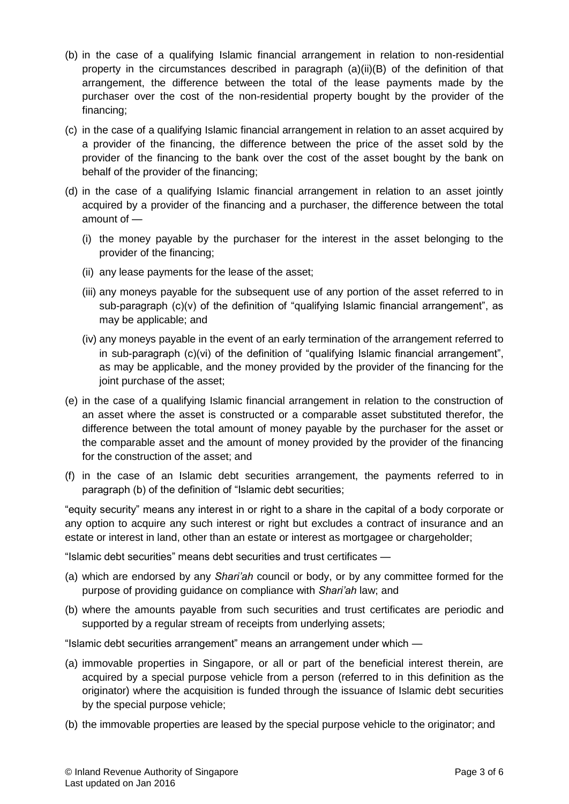- (b) in the case of a qualifying Islamic financial arrangement in relation to non-residential property in the circumstances described in paragraph (a)(ii)(B) of the definition of that arrangement, the difference between the total of the lease payments made by the purchaser over the cost of the non-residential property bought by the provider of the financing;
- (c) in the case of a qualifying Islamic financial arrangement in relation to an asset acquired by a provider of the financing, the difference between the price of the asset sold by the provider of the financing to the bank over the cost of the asset bought by the bank on behalf of the provider of the financing;
- (d) in the case of a qualifying Islamic financial arrangement in relation to an asset jointly acquired by a provider of the financing and a purchaser, the difference between the total amount of —
	- (i) the money payable by the purchaser for the interest in the asset belonging to the provider of the financing;
	- (ii) any lease payments for the lease of the asset;
	- (iii) any moneys payable for the subsequent use of any portion of the asset referred to in sub-paragraph (c)(v) of the definition of "qualifying Islamic financial arrangement", as may be applicable; and
	- (iv) any moneys payable in the event of an early termination of the arrangement referred to in sub-paragraph (c)(vi) of the definition of "qualifying Islamic financial arrangement", as may be applicable, and the money provided by the provider of the financing for the joint purchase of the asset;
- (e) in the case of a qualifying Islamic financial arrangement in relation to the construction of an asset where the asset is constructed or a comparable asset substituted therefor, the difference between the total amount of money payable by the purchaser for the asset or the comparable asset and the amount of money provided by the provider of the financing for the construction of the asset; and
- (f) in the case of an Islamic debt securities arrangement, the payments referred to in paragraph (b) of the definition of "Islamic debt securities;

"equity security" means any interest in or right to a share in the capital of a body corporate or any option to acquire any such interest or right but excludes a contract of insurance and an estate or interest in land, other than an estate or interest as mortgagee or chargeholder;

"Islamic debt securities" means debt securities and trust certificates —

- (a) which are endorsed by any *Shari'ah* council or body, or by any committee formed for the purpose of providing guidance on compliance with *Shari'ah* law; and
- (b) where the amounts payable from such securities and trust certificates are periodic and supported by a regular stream of receipts from underlying assets;

"Islamic debt securities arrangement" means an arrangement under which —

- (a) immovable properties in Singapore, or all or part of the beneficial interest therein, are acquired by a special purpose vehicle from a person (referred to in this definition as the originator) where the acquisition is funded through the issuance of Islamic debt securities by the special purpose vehicle;
- (b) the immovable properties are leased by the special purpose vehicle to the originator; and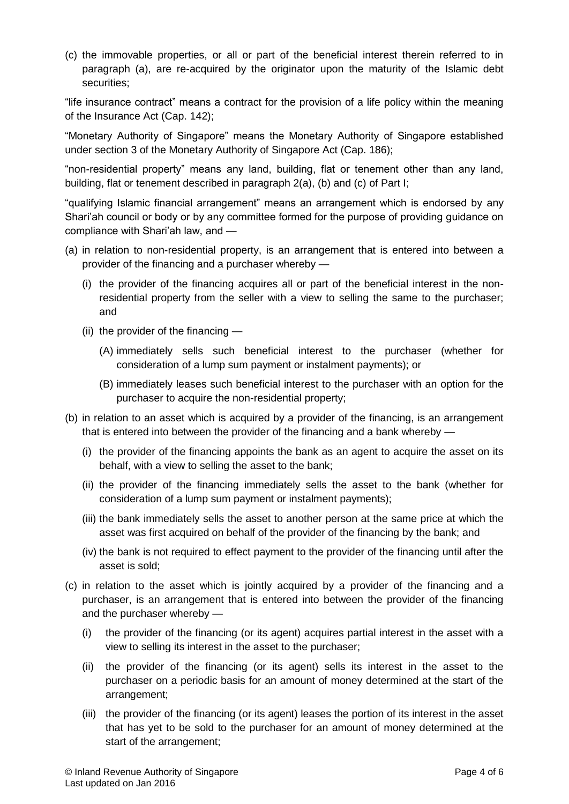(c) the immovable properties, or all or part of the beneficial interest therein referred to in paragraph (a), are re-acquired by the originator upon the maturity of the Islamic debt securities;

"life insurance contract" means a contract for the provision of a life policy within the meaning of the Insurance Act (Cap. 142);

"Monetary Authority of Singapore" means the Monetary Authority of Singapore established under section 3 of the Monetary Authority of Singapore Act (Cap. 186);

"non-residential property" means any land, building, flat or tenement other than any land, building, flat or tenement described in paragraph 2(a), (b) and (c) of Part I;

"qualifying Islamic financial arrangement" means an arrangement which is endorsed by any Shari'ah council or body or by any committee formed for the purpose of providing guidance on compliance with Shari'ah law, and —

- (a) in relation to non-residential property, is an arrangement that is entered into between a provider of the financing and a purchaser whereby —
	- (i) the provider of the financing acquires all or part of the beneficial interest in the nonresidential property from the seller with a view to selling the same to the purchaser; and
	- (ii) the provider of the financing
		- (A) immediately sells such beneficial interest to the purchaser (whether for consideration of a lump sum payment or instalment payments); or
		- (B) immediately leases such beneficial interest to the purchaser with an option for the purchaser to acquire the non-residential property;
- (b) in relation to an asset which is acquired by a provider of the financing, is an arrangement that is entered into between the provider of the financing and a bank whereby —
	- (i) the provider of the financing appoints the bank as an agent to acquire the asset on its behalf, with a view to selling the asset to the bank;
	- (ii) the provider of the financing immediately sells the asset to the bank (whether for consideration of a lump sum payment or instalment payments);
	- (iii) the bank immediately sells the asset to another person at the same price at which the asset was first acquired on behalf of the provider of the financing by the bank; and
	- (iv) the bank is not required to effect payment to the provider of the financing until after the asset is sold;
- (c) in relation to the asset which is jointly acquired by a provider of the financing and a purchaser, is an arrangement that is entered into between the provider of the financing and the purchaser whereby —
	- (i) the provider of the financing (or its agent) acquires partial interest in the asset with a view to selling its interest in the asset to the purchaser;
	- (ii) the provider of the financing (or its agent) sells its interest in the asset to the purchaser on a periodic basis for an amount of money determined at the start of the arrangement;
	- (iii) the provider of the financing (or its agent) leases the portion of its interest in the asset that has yet to be sold to the purchaser for an amount of money determined at the start of the arrangement;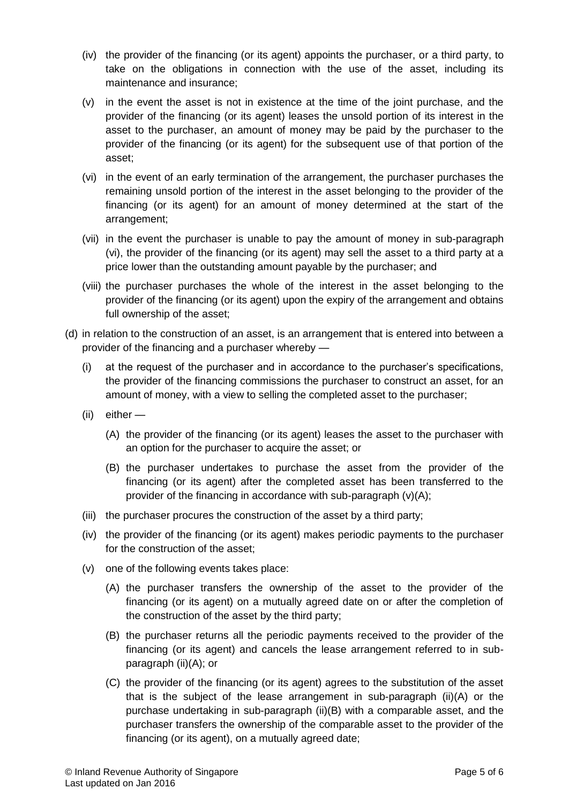- (iv) the provider of the financing (or its agent) appoints the purchaser, or a third party, to take on the obligations in connection with the use of the asset, including its maintenance and insurance;
- (v) in the event the asset is not in existence at the time of the joint purchase, and the provider of the financing (or its agent) leases the unsold portion of its interest in the asset to the purchaser, an amount of money may be paid by the purchaser to the provider of the financing (or its agent) for the subsequent use of that portion of the asset;
- (vi) in the event of an early termination of the arrangement, the purchaser purchases the remaining unsold portion of the interest in the asset belonging to the provider of the financing (or its agent) for an amount of money determined at the start of the arrangement;
- (vii) in the event the purchaser is unable to pay the amount of money in sub-paragraph (vi), the provider of the financing (or its agent) may sell the asset to a third party at a price lower than the outstanding amount payable by the purchaser; and
- (viii) the purchaser purchases the whole of the interest in the asset belonging to the provider of the financing (or its agent) upon the expiry of the arrangement and obtains full ownership of the asset;
- (d) in relation to the construction of an asset, is an arrangement that is entered into between a provider of the financing and a purchaser whereby —
	- (i) at the request of the purchaser and in accordance to the purchaser's specifications, the provider of the financing commissions the purchaser to construct an asset, for an amount of money, with a view to selling the completed asset to the purchaser;
	- (ii) either
		- (A) the provider of the financing (or its agent) leases the asset to the purchaser with an option for the purchaser to acquire the asset; or
		- (B) the purchaser undertakes to purchase the asset from the provider of the financing (or its agent) after the completed asset has been transferred to the provider of the financing in accordance with sub-paragraph (v)(A);
	- (iii) the purchaser procures the construction of the asset by a third party;
	- (iv) the provider of the financing (or its agent) makes periodic payments to the purchaser for the construction of the asset;
	- (v) one of the following events takes place:
		- (A) the purchaser transfers the ownership of the asset to the provider of the financing (or its agent) on a mutually agreed date on or after the completion of the construction of the asset by the third party;
		- (B) the purchaser returns all the periodic payments received to the provider of the financing (or its agent) and cancels the lease arrangement referred to in subparagraph (ii)(A); or
		- (C) the provider of the financing (or its agent) agrees to the substitution of the asset that is the subject of the lease arrangement in sub-paragraph (ii)(A) or the purchase undertaking in sub-paragraph (ii)(B) with a comparable asset, and the purchaser transfers the ownership of the comparable asset to the provider of the financing (or its agent), on a mutually agreed date;